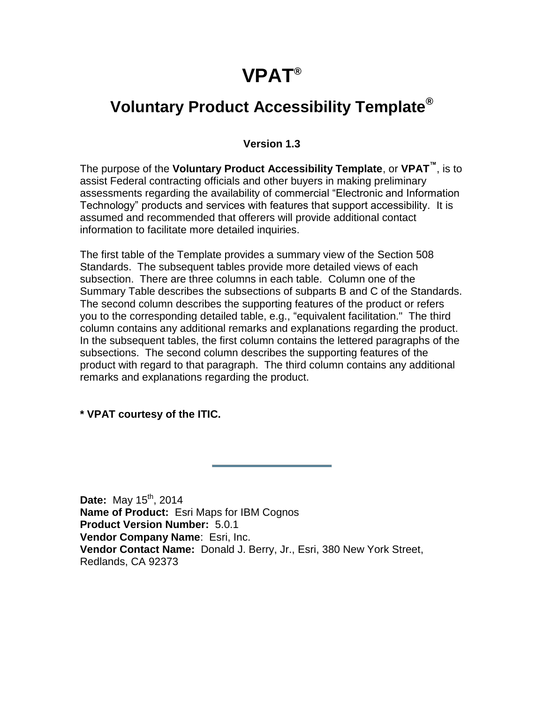## **VPAT®**

#### **Voluntary Product Accessibility Template®**

#### **Version 1.3**

The purpose of the **Voluntary Product Accessibility Template**, or **VPAT™**, is to assist Federal contracting officials and other buyers in making preliminary assessments regarding the availability of commercial "Electronic and Information Technology" products and services with features that support accessibility. It is assumed and recommended that offerers will provide additional contact information to facilitate more detailed inquiries.

The first table of the Template provides a summary view of the Section 508 Standards. The subsequent tables provide more detailed views of each subsection. There are three columns in each table. Column one of the Summary Table describes the subsections of subparts B and C of the Standards. The second column describes the supporting features of the product or refers you to the corresponding detailed table, e.g., "equivalent facilitation." The third column contains any additional remarks and explanations regarding the product. In the subsequent tables, the first column contains the lettered paragraphs of the subsections. The second column describes the supporting features of the product with regard to that paragraph. The third column contains any additional remarks and explanations regarding the product.

**\* VPAT courtesy of the ITIC.**

**Date:** May 15<sup>th</sup>, 2014 **Name of Product:** Esri Maps for IBM Cognos **Product Version Number:** 5.0.1 **Vendor Company Name**: Esri, Inc. **Vendor Contact Name:** Donald J. Berry, Jr., Esri, 380 New York Street, Redlands, CA 92373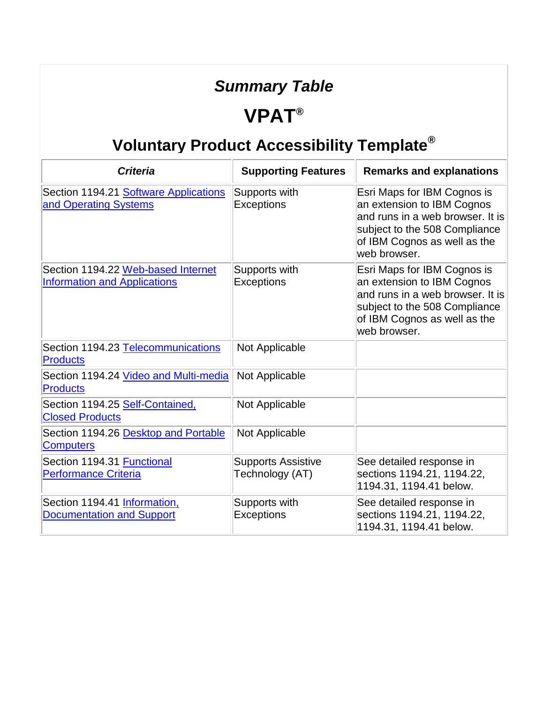## *Summary Table*

#### **VPAT®**

| <b>Criteria</b>                                                           | <b>Supporting Features</b>                   | <b>Remarks and explanations</b>                                                                                                                                                |
|---------------------------------------------------------------------------|----------------------------------------------|--------------------------------------------------------------------------------------------------------------------------------------------------------------------------------|
| Section 1194.21 Software Applications<br>and Operating Systems            | Supports with<br><b>Exceptions</b>           | Esri Maps for IBM Cognos is<br>an extension to IBM Cognos<br>and runs in a web browser. It is<br>subject to the 508 Compliance<br>of IBM Cognos as well as the<br>web browser. |
| Section 1194.22 Web-based Internet<br><b>Information and Applications</b> | Supports with<br><b>Exceptions</b>           | Esri Maps for IBM Cognos is<br>an extension to IBM Cognos<br>and runs in a web browser. It is<br>subject to the 508 Compliance<br>of IBM Cognos as well as the<br>web browser. |
| Section 1194.23 Telecommunications<br><b>Products</b>                     | Not Applicable                               |                                                                                                                                                                                |
| Section 1194.24 Video and Multi-media<br><b>Products</b>                  | Not Applicable                               |                                                                                                                                                                                |
| Section 1194.25 Self-Contained,<br><b>Closed Products</b>                 | Not Applicable                               |                                                                                                                                                                                |
| Section 1194.26 Desktop and Portable<br><b>Computers</b>                  | Not Applicable                               |                                                                                                                                                                                |
| Section 1194.31 Functional<br><b>Performance Criteria</b>                 | <b>Supports Assistive</b><br>Technology (AT) | See detailed response in<br>sections 1194.21, 1194.22,<br>1194.31, 1194.41 below.                                                                                              |
| Section 1194.41 Information,<br><b>Documentation and Support</b>          | Supports with<br>Exceptions                  | See detailed response in<br>sections 1194.21, 1194.22,<br>1194.31, 1194.41 below.                                                                                              |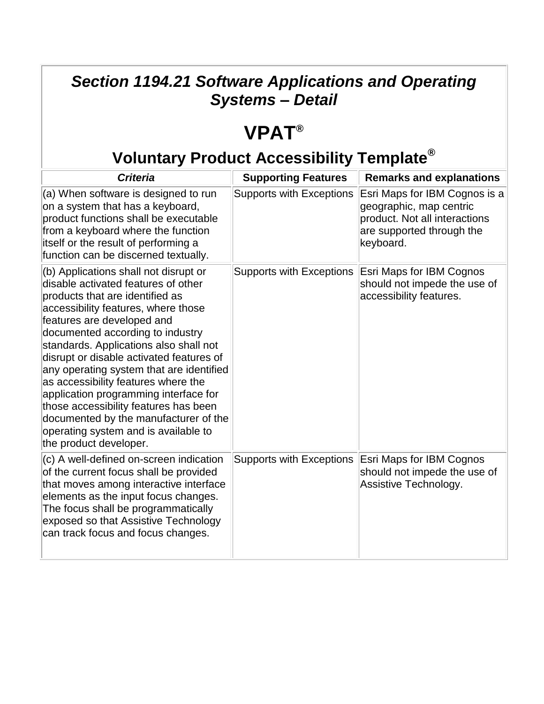#### *Section 1194.21 Software Applications and Operating Systems – Detail*

## **VPAT®**

| <b>Criteria</b>                                                                                                                                                                                                                                                                                                                                                                                                                                                                                                                                                                                | <b>Supporting Features</b>      | <b>Remarks and explanations</b>                                                                                                     |
|------------------------------------------------------------------------------------------------------------------------------------------------------------------------------------------------------------------------------------------------------------------------------------------------------------------------------------------------------------------------------------------------------------------------------------------------------------------------------------------------------------------------------------------------------------------------------------------------|---------------------------------|-------------------------------------------------------------------------------------------------------------------------------------|
| (a) When software is designed to run<br>on a system that has a keyboard,<br>product functions shall be executable<br>from a keyboard where the function<br>itself or the result of performing a<br>function can be discerned textually.                                                                                                                                                                                                                                                                                                                                                        | <b>Supports with Exceptions</b> | Esri Maps for IBM Cognos is a<br>geographic, map centric<br>product. Not all interactions<br>are supported through the<br>keyboard. |
| (b) Applications shall not disrupt or<br>disable activated features of other<br>products that are identified as<br>accessibility features, where those<br>features are developed and<br>documented according to industry<br>standards. Applications also shall not<br>disrupt or disable activated features of<br>any operating system that are identified<br>as accessibility features where the<br>application programming interface for<br>those accessibility features has been<br>documented by the manufacturer of the<br>operating system and is available to<br>the product developer. | <b>Supports with Exceptions</b> | <b>Esri Maps for IBM Cognos</b><br>should not impede the use of<br>accessibility features.                                          |
| (c) A well-defined on-screen indication<br>of the current focus shall be provided<br>that moves among interactive interface<br>elements as the input focus changes.<br>The focus shall be programmatically<br>exposed so that Assistive Technology<br>can track focus and focus changes.                                                                                                                                                                                                                                                                                                       | <b>Supports with Exceptions</b> | Esri Maps for IBM Cognos<br>should not impede the use of<br>Assistive Technology.                                                   |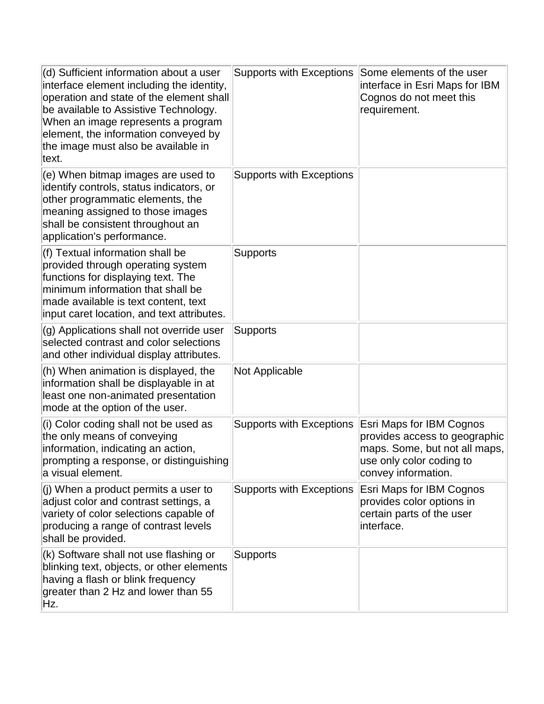| (d) Sufficient information about a user<br>interface element including the identity,<br>operation and state of the element shall<br>be available to Assistive Technology.<br>When an image represents a program<br>element, the information conveyed by<br>the image must also be available in<br>text. | <b>Supports with Exceptions</b> | Some elements of the user<br>interface in Esri Maps for IBM<br>Cognos do not meet this<br>requirement.                                               |
|---------------------------------------------------------------------------------------------------------------------------------------------------------------------------------------------------------------------------------------------------------------------------------------------------------|---------------------------------|------------------------------------------------------------------------------------------------------------------------------------------------------|
| (e) When bitmap images are used to<br>identify controls, status indicators, or<br>other programmatic elements, the<br>meaning assigned to those images<br>shall be consistent throughout an<br>application's performance.                                                                               | <b>Supports with Exceptions</b> |                                                                                                                                                      |
| (f) Textual information shall be<br>provided through operating system<br>functions for displaying text. The<br>minimum information that shall be<br>made available is text content, text<br>input caret location, and text attributes.                                                                  | <b>Supports</b>                 |                                                                                                                                                      |
| (g) Applications shall not override user<br>selected contrast and color selections<br>and other individual display attributes.                                                                                                                                                                          | <b>Supports</b>                 |                                                                                                                                                      |
| (h) When animation is displayed, the<br>information shall be displayable in at<br>least one non-animated presentation<br>mode at the option of the user.                                                                                                                                                | <b>Not Applicable</b>           |                                                                                                                                                      |
| (i) Color coding shall not be used as<br>the only means of conveying<br>information, indicating an action,<br>prompting a response, or distinguishing<br>a visual element.                                                                                                                              | <b>Supports with Exceptions</b> | <b>Esri Maps for IBM Cognos</b><br>provides access to geographic<br>maps. Some, but not all maps,<br>use only color coding to<br>convey information. |
| $ $ (j) When a product permits a user to<br>adjust color and contrast settings, a<br>variety of color selections capable of<br>producing a range of contrast levels<br>shall be provided.                                                                                                               | <b>Supports with Exceptions</b> | <b>Esri Maps for IBM Cognos</b><br>provides color options in<br>certain parts of the user<br>interface.                                              |
| (k) Software shall not use flashing or<br>blinking text, objects, or other elements<br>having a flash or blink frequency<br>greater than 2 Hz and lower than 55<br>Hz.                                                                                                                                  | <b>Supports</b>                 |                                                                                                                                                      |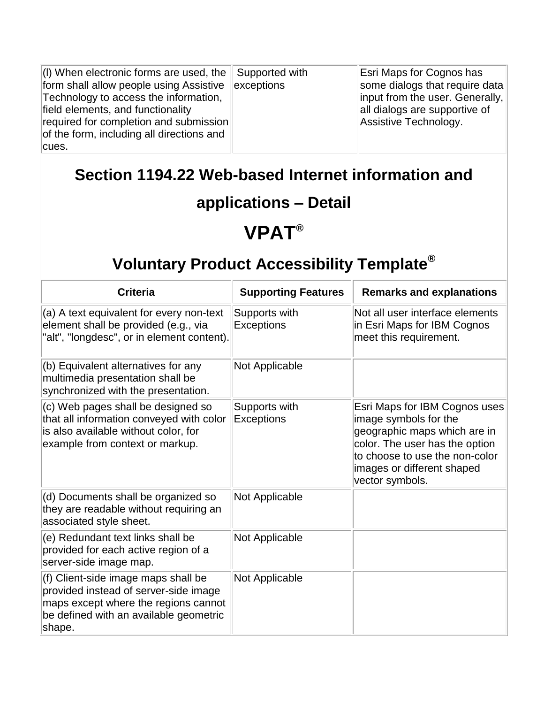| $(1)$ When electronic forms are used, the | Supported with | <b>Esri Maps for Cognos has</b>           |
|-------------------------------------------|----------------|-------------------------------------------|
| form shall allow people using Assistive   | exceptions     | some dialogs that require data            |
| Technology to access the information,     |                | $\ $ input from the user. Generally, $\ $ |
| field elements, and functionality         |                | all dialogs are supportive of             |
| required for completion and submission    |                | Assistive Technology.                     |
| of the form, including all directions and |                |                                           |
| cues.                                     |                |                                           |

#### **Section 1194.22 Web-based Internet information and**

#### **applications – Detail**

#### **VPAT®**

| <b>Criteria</b>                                                                                                                                                          | <b>Supporting Features</b>         | <b>Remarks and explanations</b>                                                                                                                                                                             |
|--------------------------------------------------------------------------------------------------------------------------------------------------------------------------|------------------------------------|-------------------------------------------------------------------------------------------------------------------------------------------------------------------------------------------------------------|
| (a) A text equivalent for every non-text<br>element shall be provided (e.g., via<br>"alt", "longdesc", or in element content).                                           | Supports with<br><b>Exceptions</b> | Not all user interface elements<br>in Esri Maps for IBM Cognos<br>meet this requirement.                                                                                                                    |
| (b) Equivalent alternatives for any<br>multimedia presentation shall be<br>synchronized with the presentation.                                                           | <b>Not Applicable</b>              |                                                                                                                                                                                                             |
| (c) Web pages shall be designed so<br>that all information conveyed with color<br>is also available without color, for<br>example from context or markup.                | Supports with<br><b>Exceptions</b> | Esri Maps for IBM Cognos uses<br>image symbols for the<br>geographic maps which are in<br>color. The user has the option<br>to choose to use the non-color<br>images or different shaped<br>vector symbols. |
| (d) Documents shall be organized so<br>they are readable without requiring an<br>associated style sheet.                                                                 | <b>Not Applicable</b>              |                                                                                                                                                                                                             |
| (e) Redundant text links shall be<br>provided for each active region of a<br>server-side image map.                                                                      | Not Applicable                     |                                                                                                                                                                                                             |
| (f) Client-side image maps shall be<br>provided instead of server-side image<br>maps except where the regions cannot<br>be defined with an available geometric<br>shape. | <b>Not Applicable</b>              |                                                                                                                                                                                                             |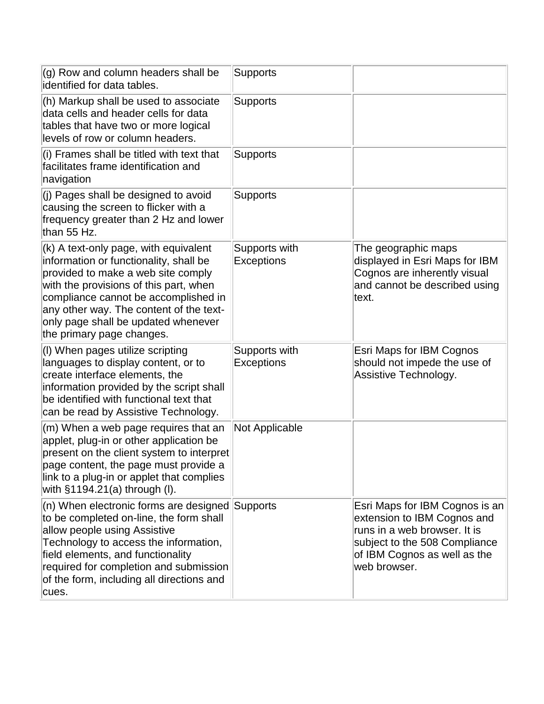| $(q)$ Row and column headers shall be<br>identified for data tables.                                                                                                                                                                                                                                                   | <b>Supports</b>                    |                                                                                                                                                                                |
|------------------------------------------------------------------------------------------------------------------------------------------------------------------------------------------------------------------------------------------------------------------------------------------------------------------------|------------------------------------|--------------------------------------------------------------------------------------------------------------------------------------------------------------------------------|
| (h) Markup shall be used to associate<br>data cells and header cells for data<br>tables that have two or more logical<br>levels of row or column headers.                                                                                                                                                              | <b>Supports</b>                    |                                                                                                                                                                                |
| (i) Frames shall be titled with text that<br>facilitates frame identification and<br>navigation                                                                                                                                                                                                                        | <b>Supports</b>                    |                                                                                                                                                                                |
| (j) Pages shall be designed to avoid<br>causing the screen to flicker with a<br>frequency greater than 2 Hz and lower<br>than 55 Hz.                                                                                                                                                                                   | <b>Supports</b>                    |                                                                                                                                                                                |
| (k) A text-only page, with equivalent<br>information or functionality, shall be<br>provided to make a web site comply<br>with the provisions of this part, when<br>compliance cannot be accomplished in<br>any other way. The content of the text-<br>only page shall be updated whenever<br>the primary page changes. | Supports with<br><b>Exceptions</b> | The geographic maps<br>displayed in Esri Maps for IBM<br>Cognos are inherently visual<br>and cannot be described using<br>text.                                                |
| (I) When pages utilize scripting<br>languages to display content, or to<br>create interface elements, the<br>information provided by the script shall<br>be identified with functional text that<br>can be read by Assistive Technology.                                                                               | Supports with<br>Exceptions        | Esri Maps for IBM Cognos<br>should not impede the use of<br>Assistive Technology.                                                                                              |
| (m) When a web page requires that an<br>applet, plug-in or other application be<br>present on the client system to interpret<br>page content, the page must provide a<br>link to a plug-in or applet that complies<br>with $§1194.21(a)$ through (I).                                                                  | Not Applicable                     |                                                                                                                                                                                |
| $(n)$ When electronic forms are designed Supports<br>to be completed on-line, the form shall<br>allow people using Assistive<br>Technology to access the information,<br>field elements, and functionality<br>required for completion and submission<br>of the form, including all directions and<br>cues.             |                                    | Esri Maps for IBM Cognos is an<br>extension to IBM Cognos and<br>runs in a web browser. It is<br>subject to the 508 Compliance<br>of IBM Cognos as well as the<br>web browser. |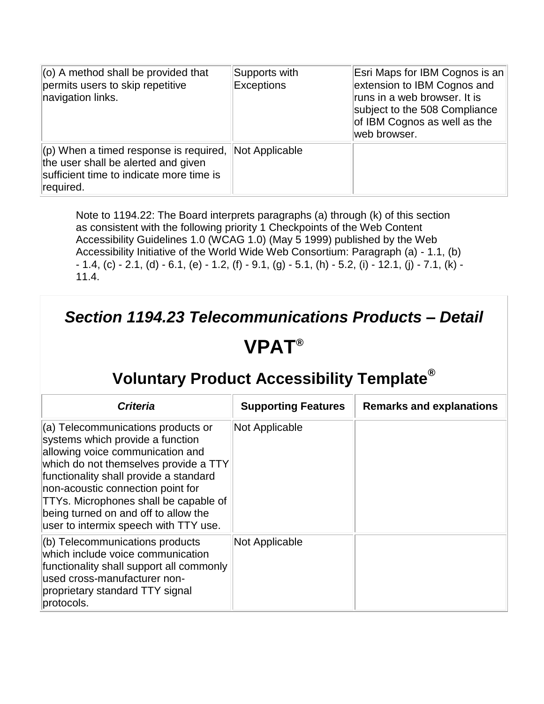| $\vert$ (o) A method shall be provided that<br>permits users to skip repetitive<br>navigation links.                                           | Supports with<br><b>Exceptions</b> | Esri Maps for IBM Cognos is an<br>extension to IBM Cognos and<br>runs in a web browser. It is<br>subject to the 508 Compliance<br>of IBM Cognos as well as the<br>web browser. |
|------------------------------------------------------------------------------------------------------------------------------------------------|------------------------------------|--------------------------------------------------------------------------------------------------------------------------------------------------------------------------------|
| $\vert$ (p) When a timed response is required,<br>the user shall be alerted and given<br>sufficient time to indicate more time is<br>required. | Not Applicable                     |                                                                                                                                                                                |

Note to 1194.22: The Board interprets paragraphs (a) through (k) of this section as consistent with the following priority 1 Checkpoints of the Web Content Accessibility Guidelines 1.0 (WCAG 1.0) (May 5 1999) published by the Web Accessibility Initiative of the World Wide Web Consortium: Paragraph (a) - 1.1, (b)  $- 1.4$ , (c)  $- 2.1$ , (d)  $- 6.1$ , (e)  $- 1.2$ , (f)  $- 9.1$ , (g)  $- 5.1$ , (h)  $- 5.2$ , (i)  $- 12.1$ , (j)  $- 7.1$ , (k)  $- 1.2$ 11.4.

## *Section 1194.23 Telecommunications Products – Detail*

#### **VPAT®**

| <b>Criteria</b>                                                                                                                                                                                                                                                                                                                                              | <b>Supporting Features</b> | <b>Remarks and explanations</b> |
|--------------------------------------------------------------------------------------------------------------------------------------------------------------------------------------------------------------------------------------------------------------------------------------------------------------------------------------------------------------|----------------------------|---------------------------------|
| (a) Telecommunications products or<br>systems which provide a function<br>allowing voice communication and<br>which do not themselves provide a TTY<br>functionality shall provide a standard<br>non-acoustic connection point for<br>TTYs. Microphones shall be capable of<br>being turned on and off to allow the<br>user to intermix speech with TTY use. | Not Applicable             |                                 |
| $($ b) Telecommunications products<br>which include voice communication<br>functionality shall support all commonly<br>lused cross-manufacturer non-<br>proprietary standard TTY signal<br>protocols.                                                                                                                                                        | Not Applicable             |                                 |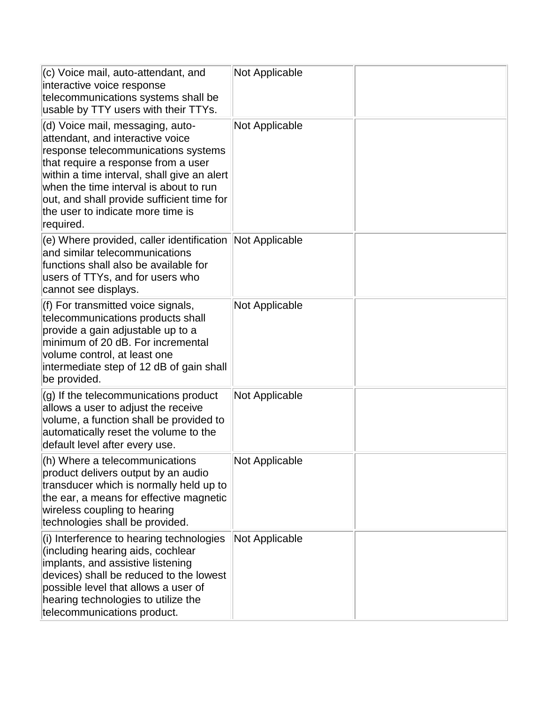| (c) Voice mail, auto-attendant, and<br>interactive voice response<br>telecommunications systems shall be<br>usable by TTY users with their TTYs.                                                                                                                                                                                            | <b>Not Applicable</b> |  |
|---------------------------------------------------------------------------------------------------------------------------------------------------------------------------------------------------------------------------------------------------------------------------------------------------------------------------------------------|-----------------------|--|
| (d) Voice mail, messaging, auto-<br>attendant, and interactive voice<br>response telecommunications systems<br>that require a response from a user<br>within a time interval, shall give an alert<br>when the time interval is about to run<br>out, and shall provide sufficient time for<br>the user to indicate more time is<br>required. | <b>Not Applicable</b> |  |
| (e) Where provided, caller identification<br>and similar telecommunications<br>functions shall also be available for<br>users of TTYs, and for users who<br>cannot see displays.                                                                                                                                                            | <b>Not Applicable</b> |  |
| (f) For transmitted voice signals,<br>telecommunications products shall<br>provide a gain adjustable up to a<br>minimum of 20 dB. For incremental<br>volume control, at least one<br>intermediate step of 12 dB of gain shall<br>be provided.                                                                                               | <b>Not Applicable</b> |  |
| (g) If the telecommunications product<br>allows a user to adjust the receive<br>volume, a function shall be provided to<br>automatically reset the volume to the<br>default level after every use.                                                                                                                                          | <b>Not Applicable</b> |  |
| (h) Where a telecommunications<br>product delivers output by an audio<br>transducer which is normally held up to<br>the ear, a means for effective magnetic<br>wireless coupling to hearing<br>technologies shall be provided.                                                                                                              | Not Applicable        |  |
| (i) Interference to hearing technologies<br>(including hearing aids, cochlear<br>implants, and assistive listening<br>devices) shall be reduced to the lowest<br>possible level that allows a user of<br>hearing technologies to utilize the<br>telecommunications product.                                                                 | <b>Not Applicable</b> |  |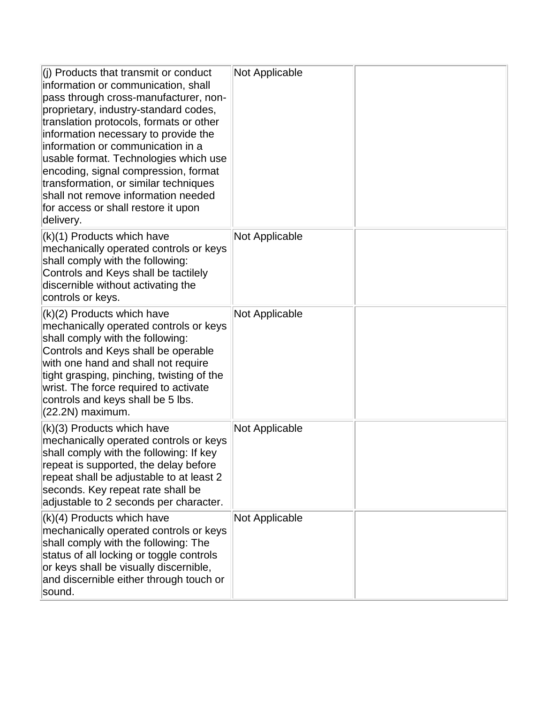| (j) Products that transmit or conduct<br>information or communication, shall<br>pass through cross-manufacturer, non-<br>proprietary, industry-standard codes,<br>translation protocols, formats or other<br>information necessary to provide the<br>information or communication in a<br>usable format. Technologies which use<br>encoding, signal compression, format<br>transformation, or similar techniques<br>shall not remove information needed<br>for access or shall restore it upon<br>delivery. | <b>Not Applicable</b> |  |
|-------------------------------------------------------------------------------------------------------------------------------------------------------------------------------------------------------------------------------------------------------------------------------------------------------------------------------------------------------------------------------------------------------------------------------------------------------------------------------------------------------------|-----------------------|--|
| $(k)(1)$ Products which have<br>mechanically operated controls or keys<br>shall comply with the following:<br>Controls and Keys shall be tactilely<br>discernible without activating the<br>controls or keys.                                                                                                                                                                                                                                                                                               | <b>Not Applicable</b> |  |
| (k)(2) Products which have<br>mechanically operated controls or keys<br>shall comply with the following:<br>Controls and Keys shall be operable<br>with one hand and shall not require<br>tight grasping, pinching, twisting of the<br>wrist. The force required to activate<br>controls and keys shall be 5 lbs.<br>$(22.2N)$ maximum.                                                                                                                                                                     | <b>Not Applicable</b> |  |
| $(k)(3)$ Products which have<br>mechanically operated controls or keys<br>shall comply with the following: If key<br>repeat is supported, the delay before<br>repeat shall be adjustable to at least 2<br>seconds. Key repeat rate shall be<br>adjustable to 2 seconds per character.                                                                                                                                                                                                                       | <b>Not Applicable</b> |  |
| $(k)(4)$ Products which have<br>mechanically operated controls or keys<br>shall comply with the following: The<br>status of all locking or toggle controls<br>or keys shall be visually discernible,<br>and discernible either through touch or<br>sound.                                                                                                                                                                                                                                                   | <b>Not Applicable</b> |  |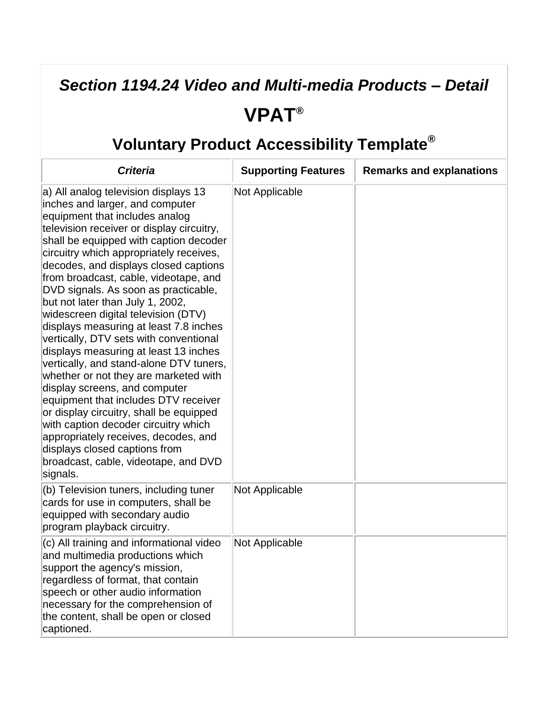# *Section 1194.24 Video and Multi-media Products – Detail*

#### **VPAT®**

| <b>Criteria</b>                                                                                                                                                                                                                                                                                                                                                                                                                                                                                                                                                                                                                                                                                                                                                                                                                                                                                                                                            | <b>Supporting Features</b> | <b>Remarks and explanations</b> |
|------------------------------------------------------------------------------------------------------------------------------------------------------------------------------------------------------------------------------------------------------------------------------------------------------------------------------------------------------------------------------------------------------------------------------------------------------------------------------------------------------------------------------------------------------------------------------------------------------------------------------------------------------------------------------------------------------------------------------------------------------------------------------------------------------------------------------------------------------------------------------------------------------------------------------------------------------------|----------------------------|---------------------------------|
| a) All analog television displays 13<br>inches and larger, and computer<br>equipment that includes analog<br>television receiver or display circuitry,<br>shall be equipped with caption decoder<br>circuitry which appropriately receives,<br>decodes, and displays closed captions<br>from broadcast, cable, videotape, and<br>DVD signals. As soon as practicable,<br>but not later than July 1, 2002,<br>widescreen digital television (DTV)<br>displays measuring at least 7.8 inches<br>vertically, DTV sets with conventional<br>displays measuring at least 13 inches<br>vertically, and stand-alone DTV tuners,<br>whether or not they are marketed with<br>display screens, and computer<br>equipment that includes DTV receiver<br>or display circuitry, shall be equipped<br>with caption decoder circuitry which<br>appropriately receives, decodes, and<br>displays closed captions from<br>broadcast, cable, videotape, and DVD<br>signals. | Not Applicable             |                                 |
| (b) Television tuners, including tuner<br>cards for use in computers, shall be<br>equipped with secondary audio<br>program playback circuitry.                                                                                                                                                                                                                                                                                                                                                                                                                                                                                                                                                                                                                                                                                                                                                                                                             | Not Applicable             |                                 |
| (c) All training and informational video<br>and multimedia productions which<br>support the agency's mission,<br>regardless of format, that contain<br>speech or other audio information<br>necessary for the comprehension of<br>the content, shall be open or closed<br>captioned.                                                                                                                                                                                                                                                                                                                                                                                                                                                                                                                                                                                                                                                                       | <b>Not Applicable</b>      |                                 |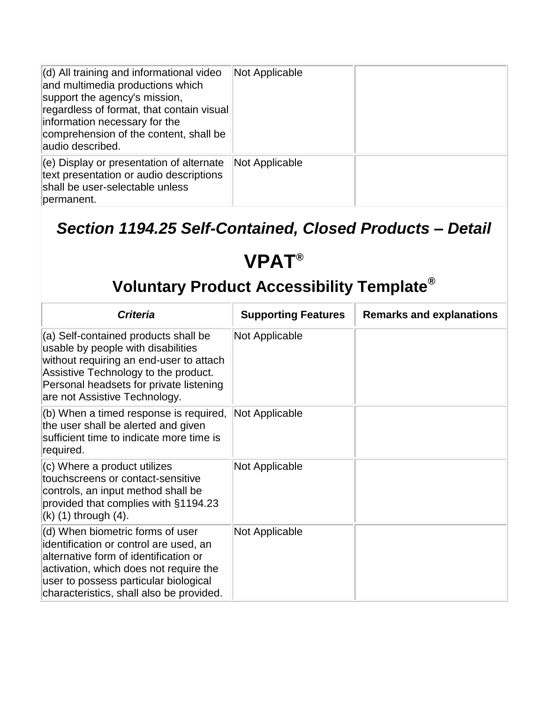| $\vert$ (d) All training and informational video<br>and multimedia productions which<br>support the agency's mission,<br>regardless of format, that contain visual<br>information necessary for the<br>comprehension of the content, shall be<br>audio described. | Not Applicable |  |
|-------------------------------------------------------------------------------------------------------------------------------------------------------------------------------------------------------------------------------------------------------------------|----------------|--|
| $\vert$ (e) Display or presentation of alternate<br>text presentation or audio descriptions<br>shall be user-selectable unless<br>permanent.                                                                                                                      | Not Applicable |  |

#### *Section 1194.25 Self-Contained, Closed Products – Detail*

## **VPAT®**

| <b>Criteria</b>                                                                                                                                                                                                                                    | <b>Supporting Features</b> | <b>Remarks and explanations</b> |
|----------------------------------------------------------------------------------------------------------------------------------------------------------------------------------------------------------------------------------------------------|----------------------------|---------------------------------|
| (a) Self-contained products shall be<br>usable by people with disabilities<br>without requiring an end-user to attach<br>Assistive Technology to the product.<br>Personal headsets for private listening<br>are not Assistive Technology.          | Not Applicable             |                                 |
| $(6)$ When a timed response is required,<br>the user shall be alerted and given<br>sufficient time to indicate more time is<br>required.                                                                                                           | <b>Not Applicable</b>      |                                 |
| $(c)$ Where a product utilizes<br>touchscreens or contact-sensitive<br>controls, an input method shall be<br>provided that complies with §1194.23<br>$(k)$ (1) through (4).                                                                        | <b>Not Applicable</b>      |                                 |
| (d) When biometric forms of user<br>identification or control are used, an<br>alternative form of identification or<br>activation, which does not require the<br>user to possess particular biological<br>characteristics, shall also be provided. | Not Applicable             |                                 |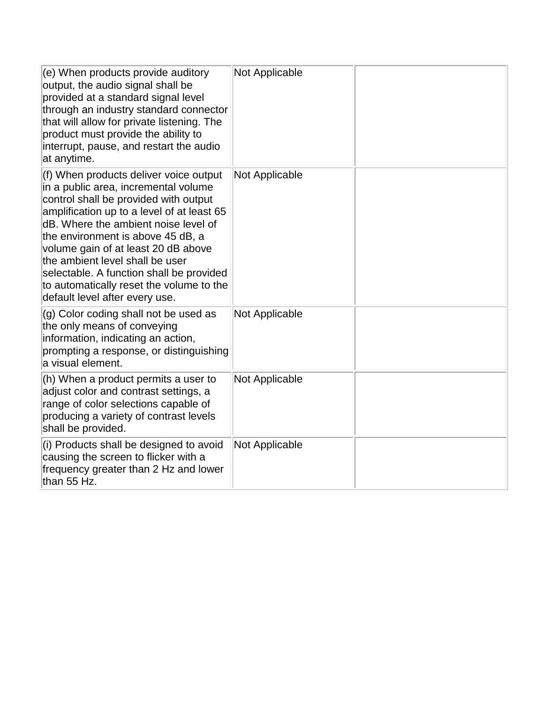| $(e)$ When products provide auditory<br>output, the audio signal shall be<br>provided at a standard signal level<br>through an industry standard connector<br>that will allow for private listening. The<br>product must provide the ability to<br>interrupt, pause, and restart the audio<br>at anytime.                                                                                                                                              | <b>Not Applicable</b> |  |
|--------------------------------------------------------------------------------------------------------------------------------------------------------------------------------------------------------------------------------------------------------------------------------------------------------------------------------------------------------------------------------------------------------------------------------------------------------|-----------------------|--|
| (f) When products deliver voice output<br>in a public area, incremental volume<br>control shall be provided with output<br>amplification up to a level of at least 65<br>dB. Where the ambient noise level of<br>the environment is above 45 dB, a<br>volume gain of at least 20 dB above<br>the ambient level shall be user<br>selectable. A function shall be provided<br>to automatically reset the volume to the<br>default level after every use. | <b>Not Applicable</b> |  |
| (g) Color coding shall not be used as<br>the only means of conveying<br>information, indicating an action,<br>prompting a response, or distinguishing<br>a visual element.                                                                                                                                                                                                                                                                             | <b>Not Applicable</b> |  |
| $(h)$ When a product permits a user to<br>adjust color and contrast settings, a<br>range of color selections capable of<br>producing a variety of contrast levels<br>shall be provided.                                                                                                                                                                                                                                                                | <b>Not Applicable</b> |  |
| (i) Products shall be designed to avoid<br>causing the screen to flicker with a<br>frequency greater than 2 Hz and lower<br>than 55 Hz.                                                                                                                                                                                                                                                                                                                | <b>Not Applicable</b> |  |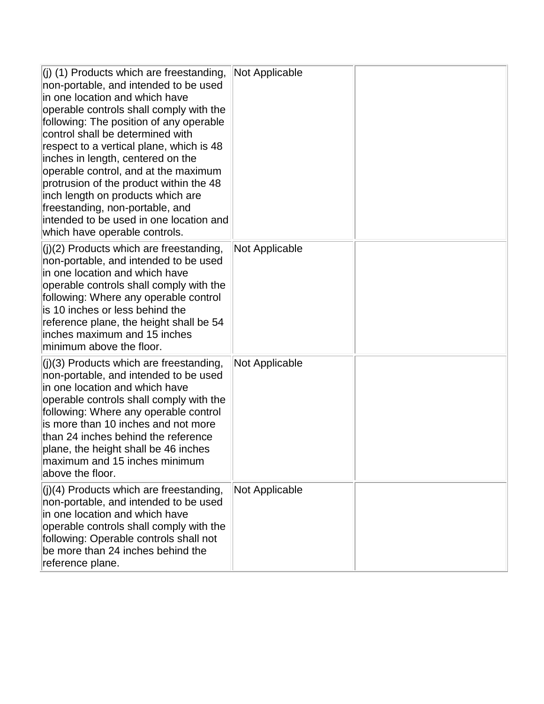| $\vert$ (j) (1) Products which are freestanding,<br>non-portable, and intended to be used<br>in one location and which have<br>operable controls shall comply with the<br>following: The position of any operable<br>control shall be determined with<br>respect to a vertical plane, which is 48<br>inches in length, centered on the<br>operable control, and at the maximum<br>protrusion of the product within the 48<br>inch length on products which are<br>freestanding, non-portable, and<br>intended to be used in one location and<br>which have operable controls. | <b>Not Applicable</b> |  |
|-------------------------------------------------------------------------------------------------------------------------------------------------------------------------------------------------------------------------------------------------------------------------------------------------------------------------------------------------------------------------------------------------------------------------------------------------------------------------------------------------------------------------------------------------------------------------------|-----------------------|--|
| $(i)(2)$ Products which are freestanding,<br>non-portable, and intended to be used<br>in one location and which have<br>operable controls shall comply with the<br>following: Where any operable control<br>is 10 inches or less behind the<br>reference plane, the height shall be 54<br>inches maximum and 15 inches<br>minimum above the floor.                                                                                                                                                                                                                            | <b>Not Applicable</b> |  |
| $(j)(3)$ Products which are freestanding,<br>non-portable, and intended to be used<br>in one location and which have<br>operable controls shall comply with the<br>following: Where any operable control<br>is more than 10 inches and not more<br>than 24 inches behind the reference<br>plane, the height shall be 46 inches<br>maximum and 15 inches minimum<br>above the floor.                                                                                                                                                                                           | <b>Not Applicable</b> |  |
| $ (j)(4)$ Products which are freestanding,<br>non-portable, and intended to be used<br>in one location and which have<br>operable controls shall comply with the<br>following: Operable controls shall not<br>be more than 24 inches behind the<br>reference plane.                                                                                                                                                                                                                                                                                                           | <b>Not Applicable</b> |  |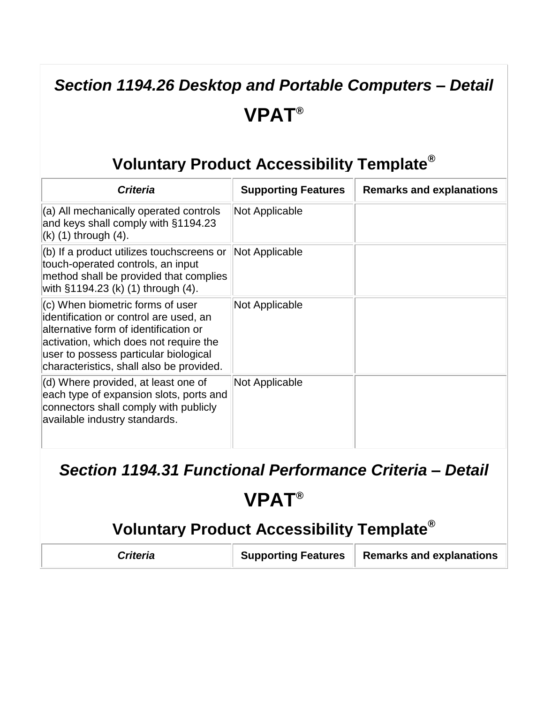## *Section 1194.26 Desktop and Portable Computers – Detail* **VPAT®**

#### **Voluntary Product Accessibility Template®**

| <b>Criteria</b>                                                                                                                                                                                                                                    | <b>Supporting Features</b> | <b>Remarks and explanations</b> |
|----------------------------------------------------------------------------------------------------------------------------------------------------------------------------------------------------------------------------------------------------|----------------------------|---------------------------------|
| (a) All mechanically operated controls<br>and keys shall comply with §1194.23<br>$(k)$ (1) through $(4)$ .                                                                                                                                         | <b>Not Applicable</b>      |                                 |
| (b) If a product utilizes touchscreens or<br>touch-operated controls, an input<br>method shall be provided that complies<br>with §1194.23 (k) (1) through (4).                                                                                     | Not Applicable             |                                 |
| (c) When biometric forms of user<br>identification or control are used, an<br>alternative form of identification or<br>activation, which does not require the<br>user to possess particular biological<br>characteristics, shall also be provided. | Not Applicable             |                                 |
| (d) Where provided, at least one of<br>each type of expansion slots, ports and<br>connectors shall comply with publicly<br>available industry standards.                                                                                           | Not Applicable             |                                 |

#### *Section 1194.31 Functional Performance Criteria – Detail*

## **VPAT®**

| Criteria | <b>Supporting Features</b> | Remarks and explanations |
|----------|----------------------------|--------------------------|
|----------|----------------------------|--------------------------|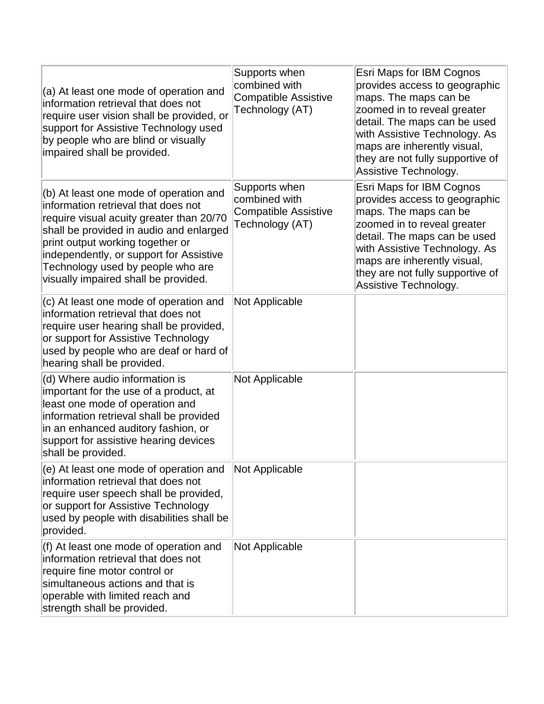| (a) At least one mode of operation and<br>information retrieval that does not<br>require user vision shall be provided, or<br>support for Assistive Technology used<br>by people who are blind or visually<br>impaired shall be provided.                                                                                        | Supports when<br>combined with<br><b>Compatible Assistive</b><br>Technology (AT) | <b>Esri Maps for IBM Cognos</b><br>provides access to geographic<br>maps. The maps can be<br>zoomed in to reveal greater<br>detail. The maps can be used<br>with Assistive Technology. As<br>maps are inherently visual,<br>they are not fully supportive of<br>Assistive Technology. |
|----------------------------------------------------------------------------------------------------------------------------------------------------------------------------------------------------------------------------------------------------------------------------------------------------------------------------------|----------------------------------------------------------------------------------|---------------------------------------------------------------------------------------------------------------------------------------------------------------------------------------------------------------------------------------------------------------------------------------|
| (b) At least one mode of operation and<br>information retrieval that does not<br>require visual acuity greater than 20/70<br>shall be provided in audio and enlarged<br>print output working together or<br>independently, or support for Assistive<br>Technology used by people who are<br>visually impaired shall be provided. | Supports when<br>combined with<br><b>Compatible Assistive</b><br>Technology (AT) | <b>Esri Maps for IBM Cognos</b><br>provides access to geographic<br>maps. The maps can be<br>zoomed in to reveal greater<br>detail. The maps can be used<br>with Assistive Technology. As<br>maps are inherently visual,<br>they are not fully supportive of<br>Assistive Technology. |
| (c) At least one mode of operation and<br>information retrieval that does not<br>require user hearing shall be provided,<br>or support for Assistive Technology<br>used by people who are deaf or hard of<br>hearing shall be provided.                                                                                          | <b>Not Applicable</b>                                                            |                                                                                                                                                                                                                                                                                       |
| (d) Where audio information is<br>important for the use of a product, at<br>least one mode of operation and<br>information retrieval shall be provided<br>in an enhanced auditory fashion, or<br>support for assistive hearing devices<br>shall be provided.                                                                     | <b>Not Applicable</b>                                                            |                                                                                                                                                                                                                                                                                       |
| $(e)$ At least one mode of operation and<br>information retrieval that does not<br>require user speech shall be provided,<br>or support for Assistive Technology<br>used by people with disabilities shall be<br>provided.                                                                                                       | Not Applicable                                                                   |                                                                                                                                                                                                                                                                                       |
| (f) At least one mode of operation and<br>information retrieval that does not<br>require fine motor control or<br>simultaneous actions and that is<br>operable with limited reach and<br>strength shall be provided.                                                                                                             | <b>Not Applicable</b>                                                            |                                                                                                                                                                                                                                                                                       |